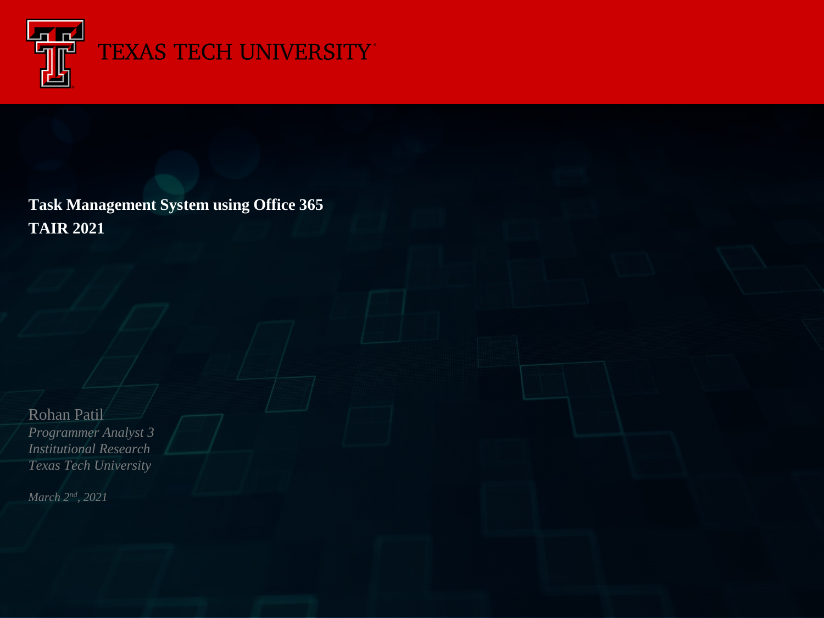

## TEXAS TECH UNIVERSITY

**Task Management System using Office 365 TAIR 2021**

Rohan Patil *Programmer Analyst 3 Institutional Research Texas Tech University*

*March 2nd, 2021*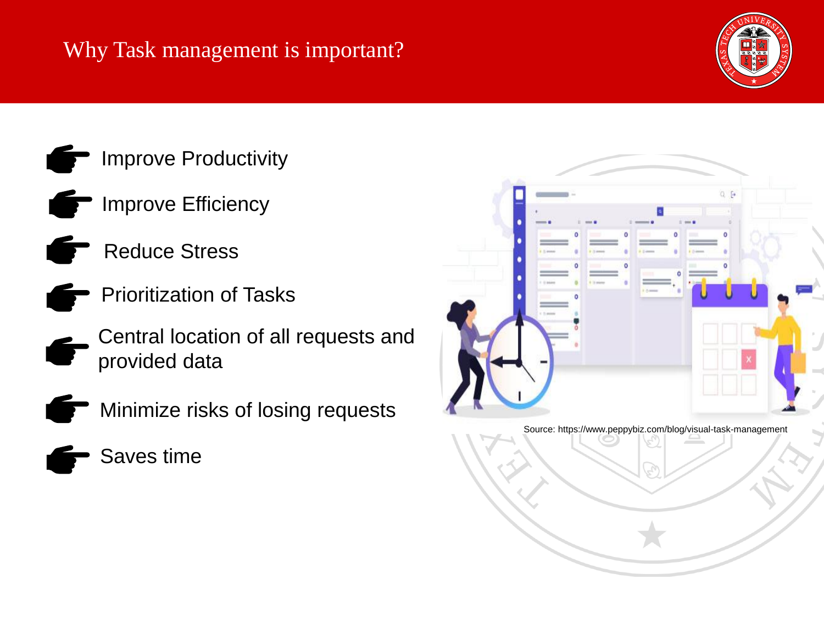## Why Task management is important?







- $\blacksquare$  Improve Efficiency
- Reduce Stress
- Prioritization of Tasks
- Central location of all requests and provided data



- **The Minimize risks of losing requests** 
	- Saves time



Source: https://www.peppybiz.com/blog/visual-task-management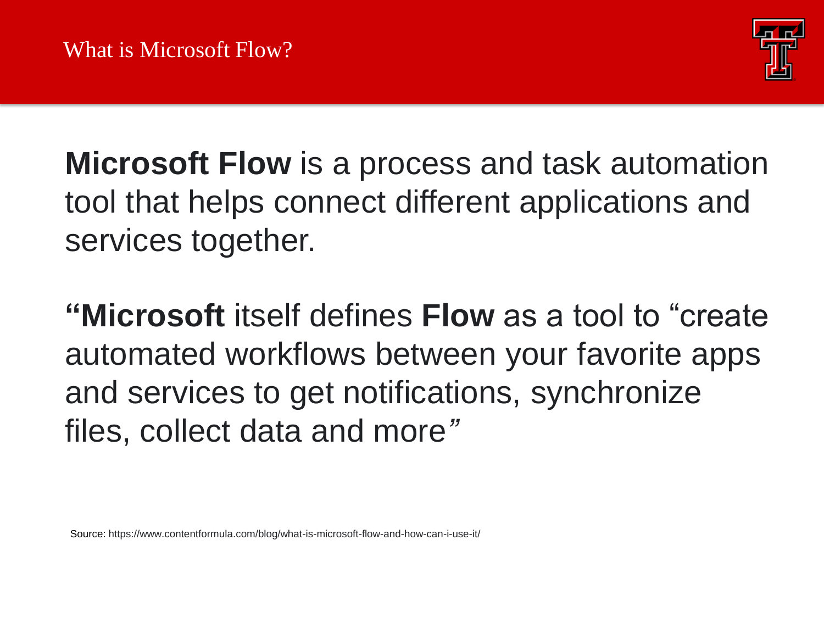

**Microsoft Flow** is a process and task automation tool that helps connect different applications and services together.

**"Microsoft** itself defines **Flow** as a tool to "create automated workflows between your favorite apps and services to get notifications, synchronize files, collect data and more*"*

Source: https://www.contentformula.com/blog/what-is-microsoft-flow-and-how-can-i-use-it/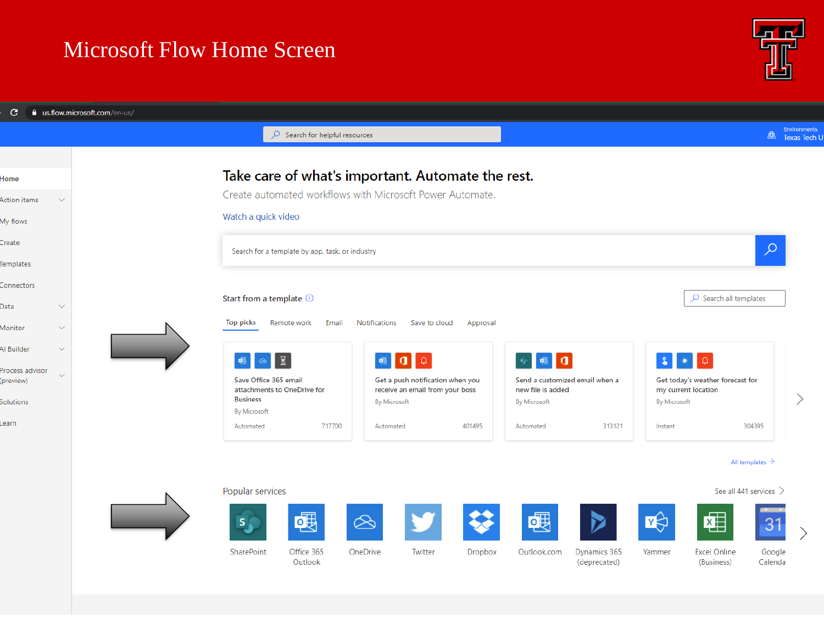## Microsoft Flow Home Screen



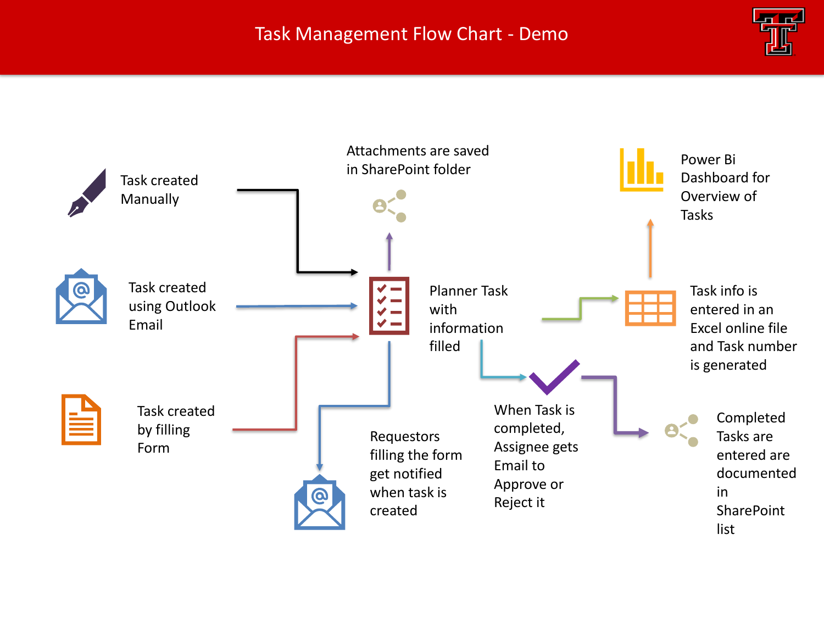#### Task Management Flow Chart - Demo



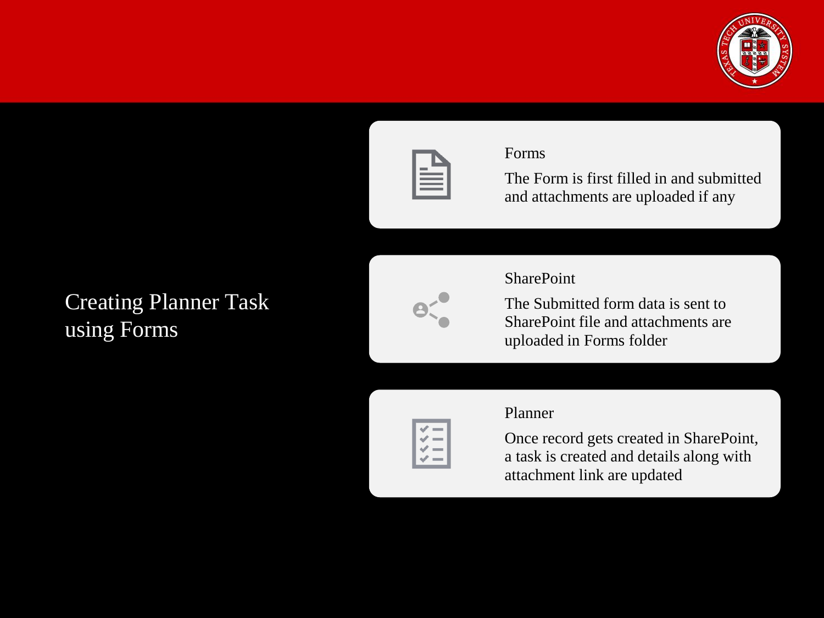



#### Forms

The Form is first filled in and submitted and attachments are uploaded if any

## Creating Planner Task using Forms



SharePoint The Submitted form data is sent to

SharePoint file and attachments are uploaded in Forms folder



Once record gets created in SharePoint, a task is created and details along with attachment link are updated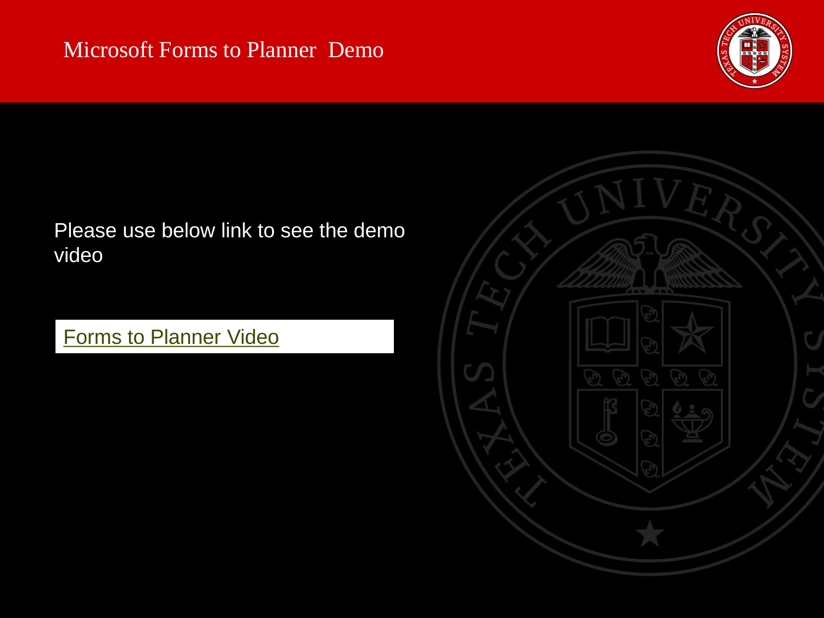### Microsoft Forms to Planner Demo



## Please use below link to see the demo video

## **[Forms to Planner Video](https://drive.google.com/file/d/1T5NvEVOTQt-0MaO_BgXzetvKcTLEmnYO/view?usp=sharing)**

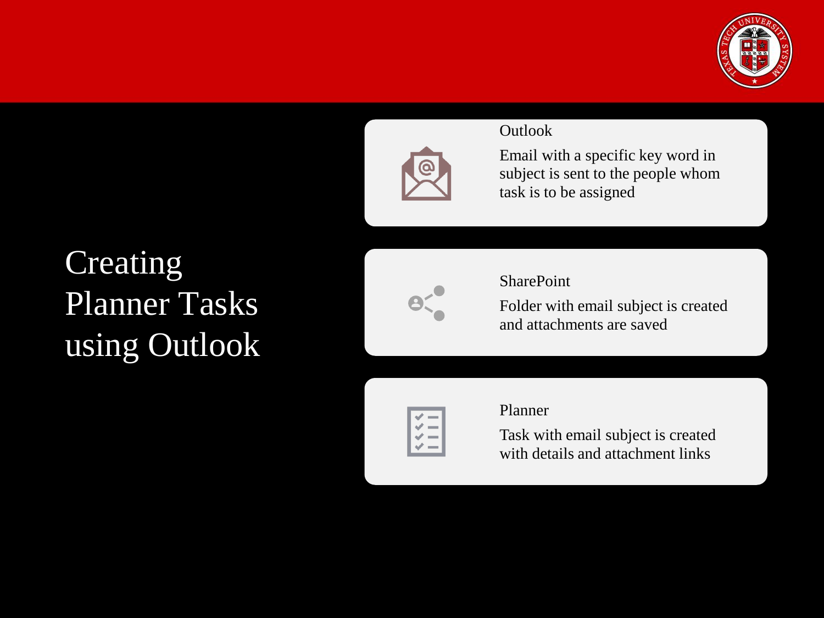![](_page_7_Picture_0.jpeg)

![](_page_7_Picture_1.jpeg)

Email with a specific key word in subject is sent to the people whom task is to be assigned

## **Creating** Planner Tasks using Outlook

![](_page_7_Figure_5.jpeg)

#### **SharePoint**

Folder with email subject is created and attachments are saved

![](_page_7_Picture_8.jpeg)

#### Planner

Task with email subject is created with details and attachment links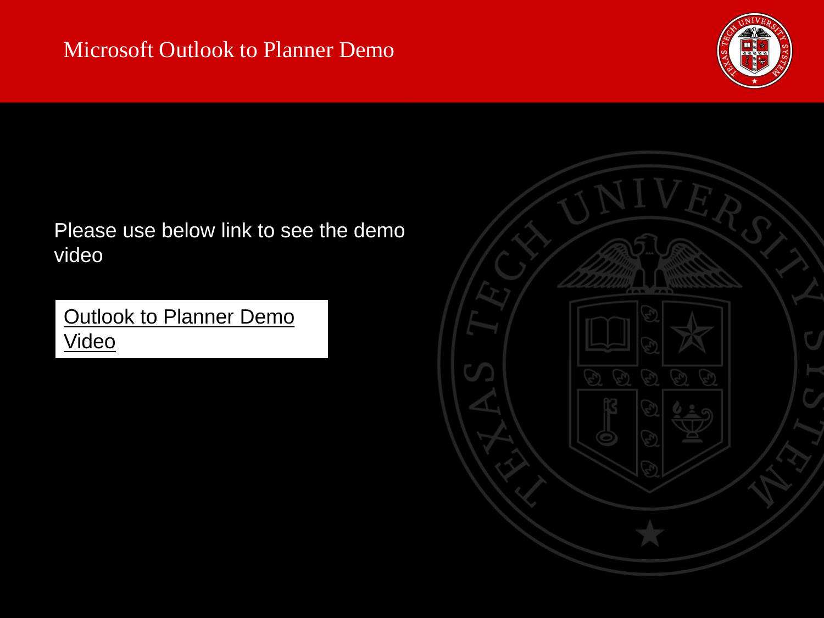![](_page_8_Picture_1.jpeg)

### Please use below link to see the demo video

[Outlook to Planner Demo](https://drive.google.com/file/d/1YuKIOK4obaL0968AVr76BZj1r29NvIIM/view?usp=sharing)  Video

![](_page_8_Picture_4.jpeg)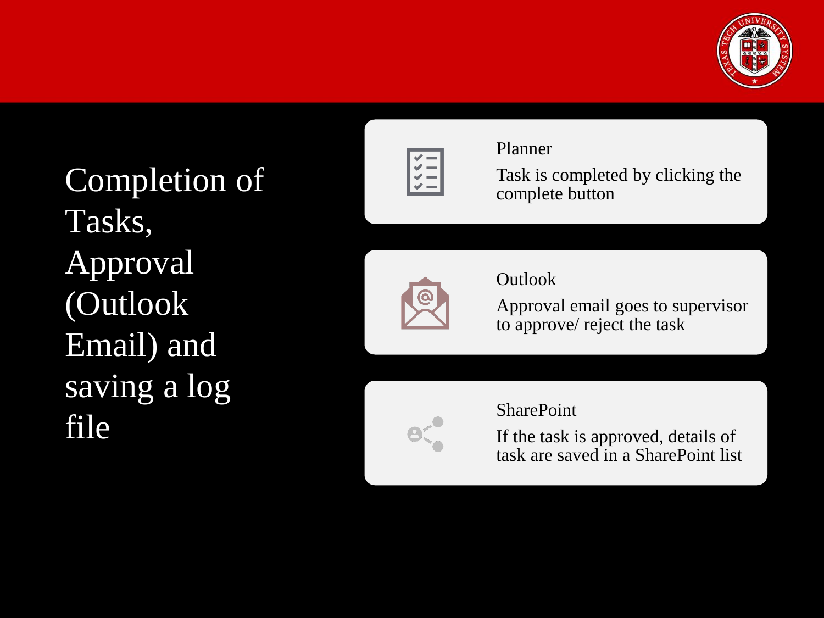![](_page_9_Picture_0.jpeg)

Completion of Tasks, Approval (Outlook Email) and saving a log file

![](_page_9_Figure_2.jpeg)

#### Planner

Task is completed by clicking the complete button

![](_page_9_Picture_5.jpeg)

#### Outlook

Approval email goes to supervisor to approve/ reject the task

![](_page_9_Picture_8.jpeg)

#### SharePoint

If the task is approved, details of task are saved in a SharePoint list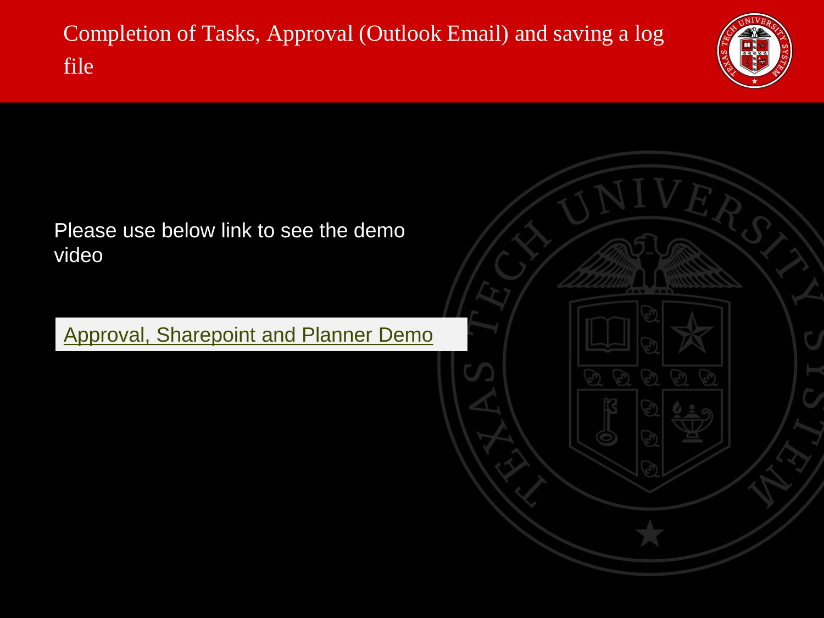Completion of Tasks, Approval (Outlook Email) and saving a log file

![](_page_10_Picture_1.jpeg)

![](_page_10_Picture_2.jpeg)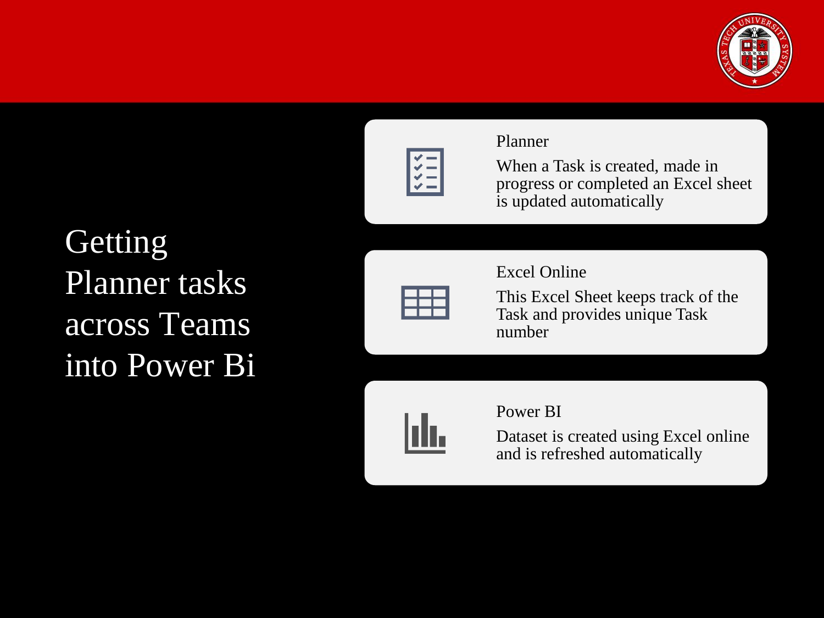![](_page_11_Picture_0.jpeg)

![](_page_11_Figure_1.jpeg)

#### Planner

When a Task is created, made in progress or completed an Excel sheet is updated automatically

**Getting** Planner tasks across Teams into Power Bi

![](_page_11_Figure_5.jpeg)

Excel Online

This Excel Sheet keeps track of the Task and provides unique Task number

![](_page_11_Picture_8.jpeg)

#### Power BI

Dataset is created using Excel online and is refreshed automatically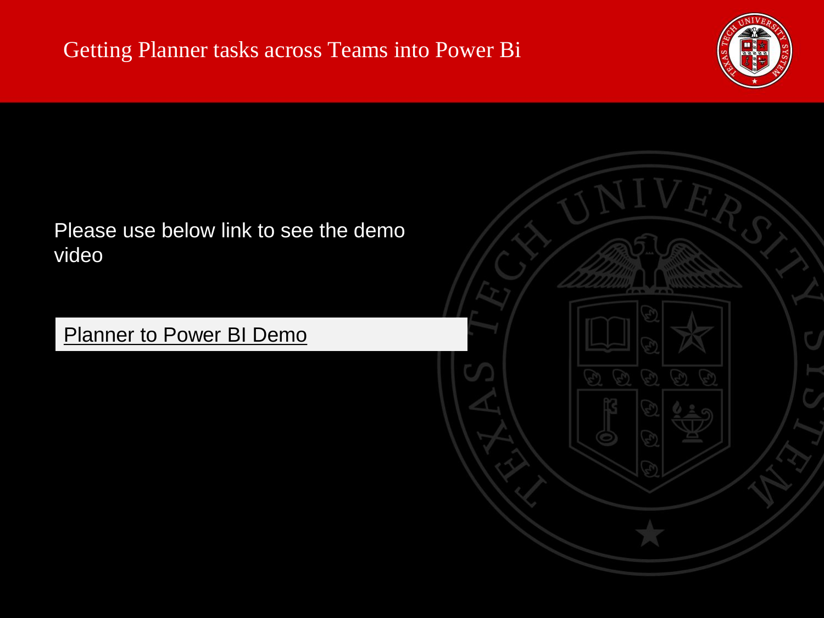![](_page_12_Picture_1.jpeg)

![](_page_12_Picture_2.jpeg)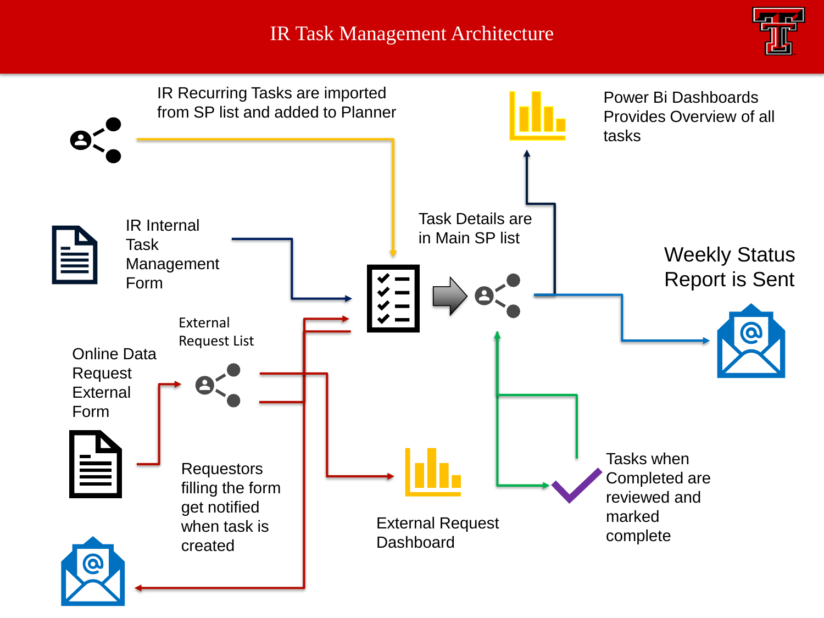### IR Task Management Architecture

![](_page_13_Picture_1.jpeg)

![](_page_13_Figure_2.jpeg)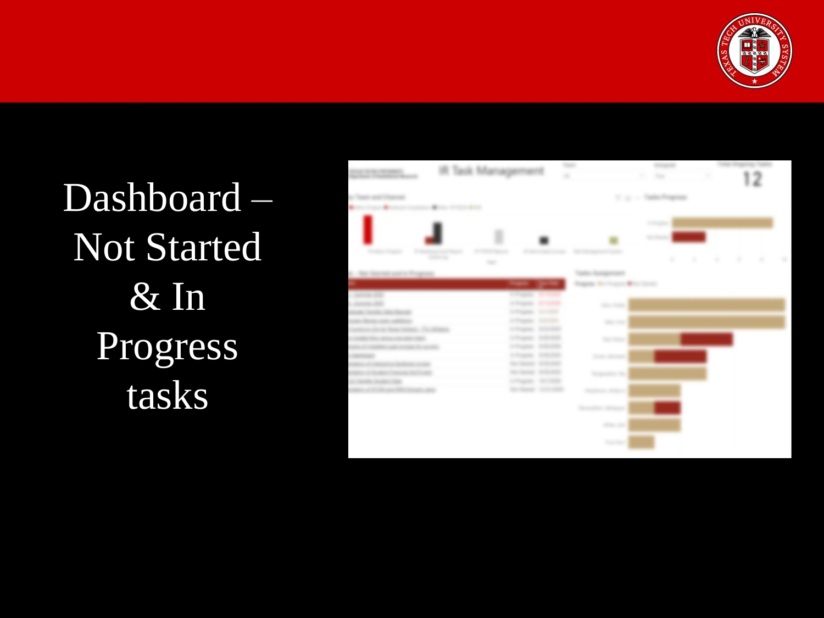![](_page_14_Picture_0.jpeg)

Dashboard – Not Started & In Progress tasks

![](_page_14_Figure_2.jpeg)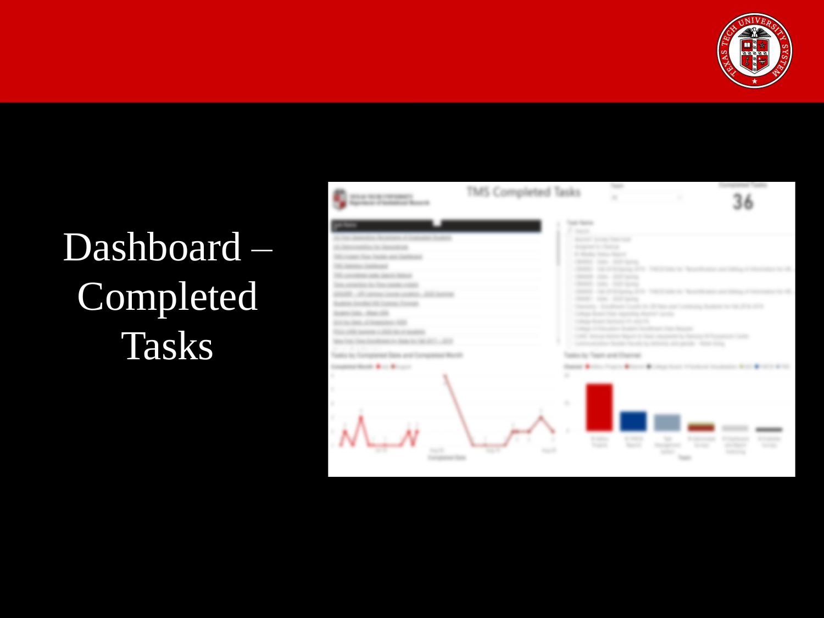![](_page_15_Picture_0.jpeg)

# Dashboard – Completed Tasks

| 2014 Scientification (Second)                                 | TMS Completed Tasks |                                                                                                                                                                                    | <b>State</b><br>×                                                                                                                                                                                                                                                                      | ×                                      |                                                               |
|---------------------------------------------------------------|---------------------|------------------------------------------------------------------------------------------------------------------------------------------------------------------------------------|----------------------------------------------------------------------------------------------------------------------------------------------------------------------------------------------------------------------------------------------------------------------------------------|----------------------------------------|---------------------------------------------------------------|
| $\rightarrow$                                                 |                     | an terro<br><b>Service</b><br>Antagone is chiesen.<br><b>COMMERCIAL</b><br><b>GRAND</b><br><b>COMMERCIAL</b><br>committee.<br>comments.<br><b>STATES</b><br><b>COMMA</b><br>13,992 | Manufacturer State Company<br>Science Anna Marie<br>Silks - Shirt spread<br><b>SECOND SHOW AND</b><br><b>SILL - SILL SHOW</b><br>can also seems<br><b>SECONDARY OR</b><br>tion of the sales<br><b>SHARFOLD TOWN TO</b><br>THE TAPPED TRUNK SERIES<br>Source international constitution | <b>SECTIONS</b><br>a company that they | 3000                                                          |
| <b>HEARTH AND REAL PROPERTY</b><br>۰<br>٠<br>٠<br>۰<br>٠<br>٠ | ٠<br><b>Harl R</b>  | $\frac{1}{2}$<br>۰<br>٠                                                                                                                                                            | ₩<br>m                                                                                                                                                                                                                                                                                 | ÷<br><b>Service</b><br><b>Sidney</b>   | <b>CONTRACTOR</b><br>$\sim 1000$<br><b>START</b><br>convents. |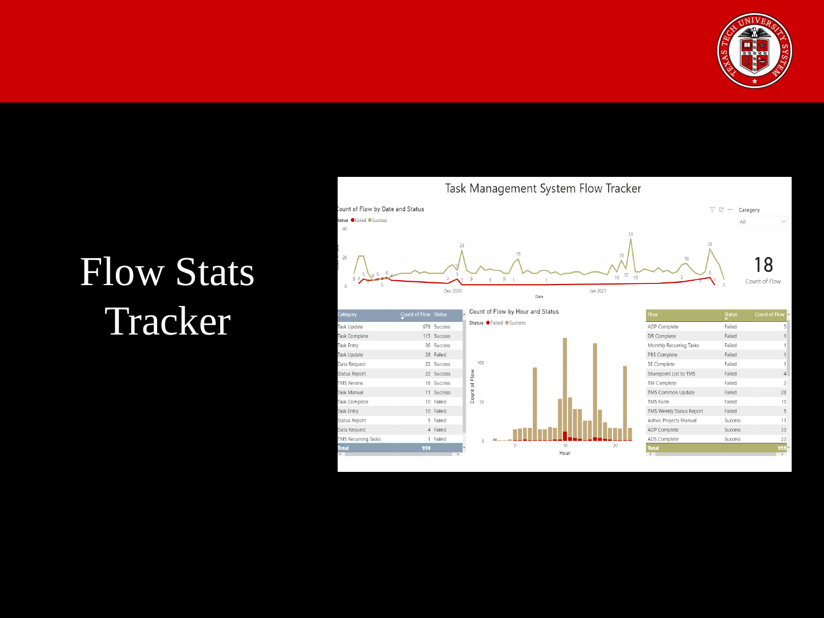![](_page_16_Picture_0.jpeg)

# Flow Stats Tracker

![](_page_16_Figure_2.jpeg)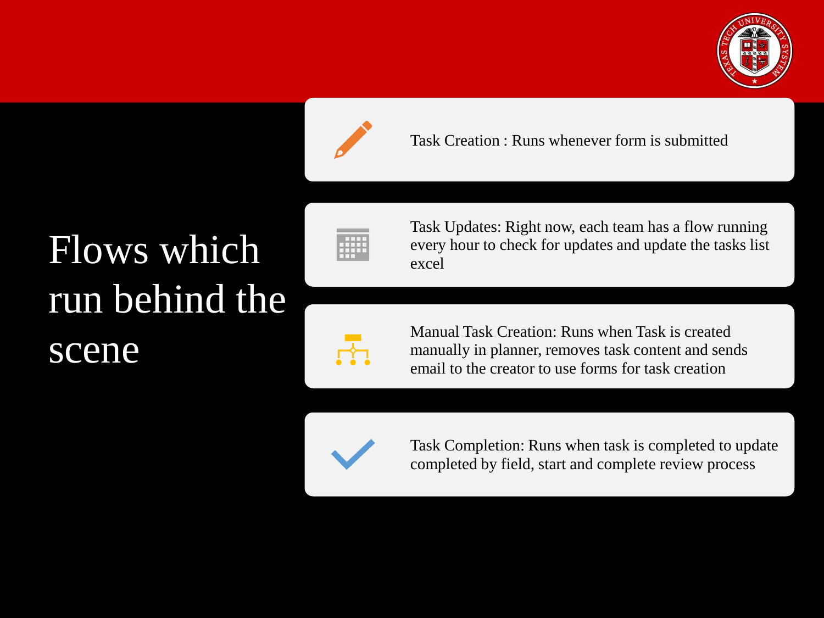![](_page_17_Picture_0.jpeg)

![](_page_17_Picture_1.jpeg)

Task Creation : Runs whenever form is submitted

## Flows which run behind the scene

![](_page_17_Picture_4.jpeg)

![](_page_17_Picture_5.jpeg)

Task Updates: Right now, each team has a flow running every hour to check for updates and update the tasks list excel

Manual Task Creation: Runs when Task is created manually in planner, removes task content and sends email to the creator to use forms for task creation

![](_page_17_Picture_8.jpeg)

Task Completion: Runs when task is completed to update completed by field, start and complete review process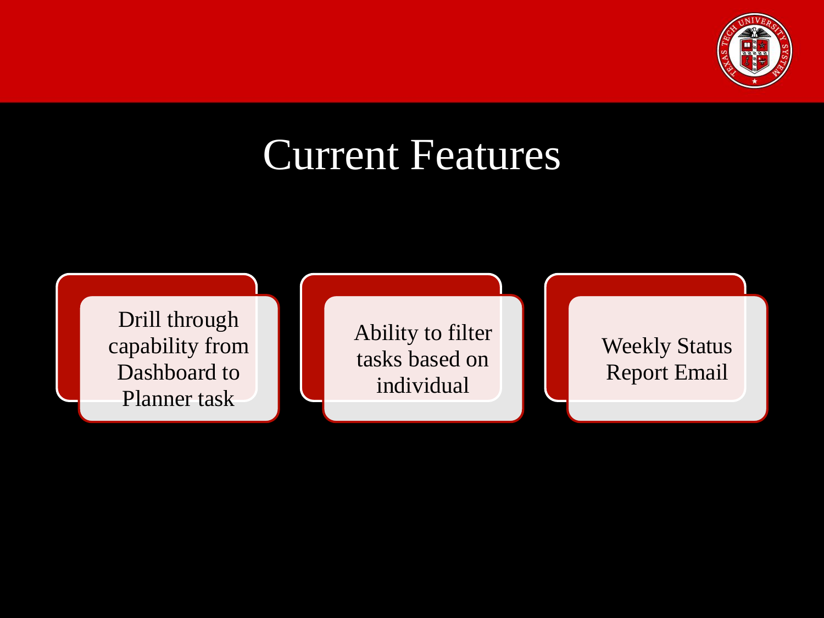![](_page_18_Picture_0.jpeg)

## Current Features

![](_page_18_Figure_2.jpeg)